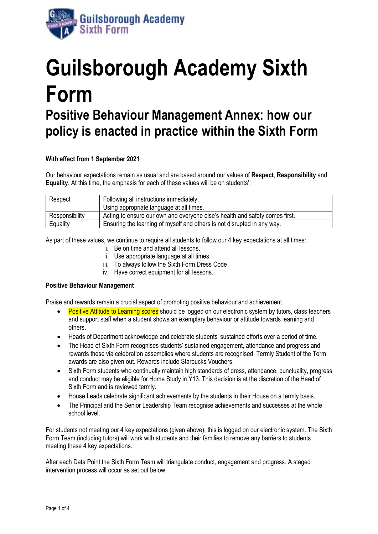

# **Guilsborough Academy Sixth Form Positive Behaviour Management Annex: how our policy is enacted in practice within the Sixth Form**

# **With effect from 1 September 2021**

Our behaviour expectations remain as usual and are based around our values of **Respect**, **Responsibility** and **Equality**. At this time, the emphasis for each of these values will be on students':

| Respect        | Following all instructions immediately.                                     |  |
|----------------|-----------------------------------------------------------------------------|--|
|                | Using appropriate language at all times.                                    |  |
| Responsibility | Acting to ensure our own and everyone else's health and safety comes first. |  |
| Equality       | Ensuring the learning of myself and others is not disrupted in any way.     |  |

As part of these values, we continue to require all students to follow our 4 key expectations at all times:

- i. Be on time and attend all lessons.
- ii. Use appropriate language at all times.
- iii. To always follow the Sixth Form Dress Code
- iv. Have correct equipment for all lessons.

## **Positive Behaviour Management**

Praise and rewards remain a crucial aspect of promoting positive behaviour and achievement.

- Positive Attitude to Learning scores should be logged on our electronic system by tutors, class teachers and support staff when a student shows an exemplary behaviour or attitude towards learning and others.
- Heads of Department acknowledge and celebrate students' sustained efforts over a period of time.
- The Head of Sixth Form recognises students' sustained engagement, attendance and progress and rewards these via celebration assemblies where students are recognised. Termly Student of the Term awards are also given out. Rewards include Starbucks Vouchers.
- Sixth Form students who continually maintain high standards of dress, attendance, punctuality, progress and conduct may be eligible for Home Study in Y13. This decision is at the discretion of the Head of Sixth Form and is reviewed termly.
- House Leads celebrate significant achievements by the students in their House on a termly basis.
- The Principal and the Senior Leadership Team recognise achievements and successes at the whole school level.

For students not meeting our 4 key expectations (given above), this is logged on our electronic system. The Sixth Form Team (including tutors) will work with students and their families to remove any barriers to students meeting these 4 key expectations.

After each Data Point the Sixth Form Team will triangulate conduct, engagement and progress. A staged intervention process will occur as set out below.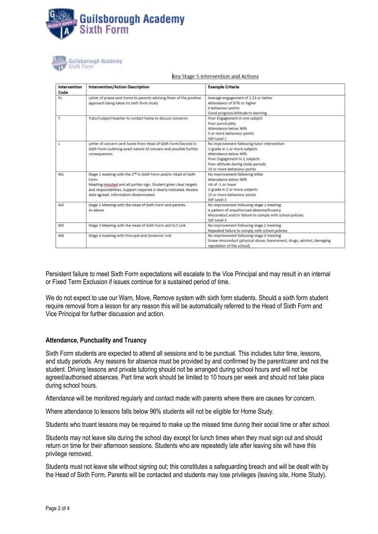



| Intervention<br>Code | Intervention/Action Description                                                                                                                                                                                                                                           | <b>Example Criteria</b>                                                                                                                                                                                    |
|----------------------|---------------------------------------------------------------------------------------------------------------------------------------------------------------------------------------------------------------------------------------------------------------------------|------------------------------------------------------------------------------------------------------------------------------------------------------------------------------------------------------------|
| PL.                  | Letter of praise sent home to parents advising them of the positive<br>approach being taken to sixth form study                                                                                                                                                           | Average engagement of 1.33 or better<br>Attendance of 97% or higher<br>0 behaviour points<br>Good progress/attitude to learning                                                                            |
|                      | Tutor/subject teacher to contact home to discuss concerns                                                                                                                                                                                                                 | Poor Engagement in one subject<br>Poor punctuality<br>Attendance below 96%<br>5 or more behaviour points<br>SSP Level 1                                                                                    |
| ŧ                    | Letter of concern sent home from Head of Sixth Form/Second in<br>Sixth Form outlining exact nature of concern and possible further<br>consequences                                                                                                                        | No improvement following tutor intervention<br>U grade in 1 or more subjects<br>Attendance below 94%<br>Poor Engagement in 2 subjects<br>Poor attitude during study periods<br>10 or more behaviour points |
| M1                   | Stage 1 meeting with the 2 <sup>nd</sup> in Sixth Form and/or Head of Sixth<br>Form<br>Meeting minuted and all parties sign. Student given clear targets<br>and responsibilities. Support required is clearly indicated. Review<br>date agreed, information disseminated. | No improvement following letter<br>Attendance below 90%<br>VA of -1 or lower<br>U grade in 2 or more subjects<br>15 or more behaviour points.<br>SSP Level 2                                               |
| M2                   | Stage 2 Meeting with the Head of Sixth Form and parents.<br>As above                                                                                                                                                                                                      | No improvement following stage 1 meeting<br>A pattern of unauthorised absence/truancy<br>Misconduct and/or failure to comply with school policies<br>E level 32                                            |
| M3                   | Stage 3 Meeting with the Head of Sixth Form and SLT Link                                                                                                                                                                                                                  | No improvement following stage 2 meeting<br>Repeated failure to comply with school policies                                                                                                                |
| M4                   | Stage 4 meeting with Principal and Governor Link                                                                                                                                                                                                                          | No improvement following stage 3 meeting<br>Grave misconduct (physical abuse, harassment, drugs, alcohol, damaging<br>reputation of the school)                                                            |

Key Stage 5 Intervention and Actions

Persistent failure to meet Sixth Form expectations will escalate to the Vice Principal and may result in an internal or Fixed Term Exclusion if issues continue for a sustained period of time.

We do not expect to use our Warn, Move, Remove system with sixth form students. Should a sixth form student require removal from a lesson for any reason this will be automatically referred to the Head of Sixth Form and Vice Principal for further discussion and action.

#### **Attendance, Punctuality and Truancy**

Sixth Form students are expected to attend all sessions and to be punctual. This includes tutor time, lessons, and study periods. Any reasons for absence must be provided by and confirmed by the parent/carer and not the student. Driving lessons and private tutoring should not be arranged during school hours and will not be agreed/authorised absences. Part time work should be limited to 10 hours per week and should not take place during school hours.

Attendance will be monitored regularly and contact made with parents where there are causes for concern.

Where attendance to lessons falls below 96% students will not be eligible for Home Study.

Students who truant lessons may be required to make up the missed time during their social time or after school.

Students may not leave site during the school day except for lunch times when they must sign out and should return on time for their afternoon sessions. Students who are repeatedly late after leaving site will have this privilege removed.

Students must not leave site without signing out; this constitutes a safeguarding breach and will be dealt with by the Head of Sixth Form. Parents will be contacted and students may lose privileges (leaving site, Home Study).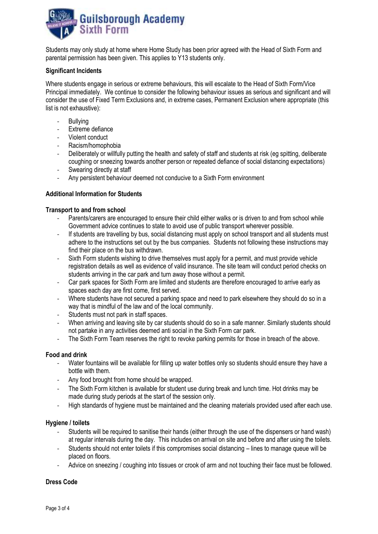

Students may only study at home where Home Study has been prior agreed with the Head of Sixth Form and parental permission has been given. This applies to Y13 students only.

# **Significant Incidents**

Where students engage in serious or extreme behaviours, this will escalate to the Head of Sixth Form/Vice Principal immediately. We continue to consider the following behaviour issues as serious and significant and will consider the use of Fixed Term Exclusions and, in extreme cases, Permanent Exclusion where appropriate (this list is not exhaustive):

- Bullying
- Extreme defiance
- Violent conduct
- Racism/homophobia
- Deliberately or willfully putting the health and safety of staff and students at risk (eg spitting, deliberate coughing or sneezing towards another person or repeated defiance of social distancing expectations)
- Swearing directly at staff
- Any persistent behaviour deemed not conducive to a Sixth Form environment

# **Additional Information for Students**

# **Transport to and from school**

- Parents/carers are encouraged to ensure their child either walks or is driven to and from school while Government advice continues to state to avoid use of public transport wherever possible.
- If students are travelling by bus, social distancing must apply on school transport and all students must adhere to the instructions set out by the bus companies. Students not following these instructions may find their place on the bus withdrawn.
- Sixth Form students wishing to drive themselves must apply for a permit, and must provide vehicle registration details as well as evidence of valid insurance. The site team will conduct period checks on students arriving in the car park and turn away those without a permit.
- Car park spaces for Sixth Form are limited and students are therefore encouraged to arrive early as spaces each day are first come, first served.
- Where students have not secured a parking space and need to park elsewhere they should do so in a way that is mindful of the law and of the local community.
- Students must not park in staff spaces.
- When arriving and leaving site by car students should do so in a safe manner. Similarly students should not partake in any activities deemed anti social in the Sixth Form car park.
- The Sixth Form Team reserves the right to revoke parking permits for those in breach of the above.

## **Food and drink**

- Water fountains will be available for filling up water bottles only so students should ensure they have a bottle with them.
- Any food brought from home should be wrapped.
- The Sixth Form kitchen is available for student use during break and lunch time. Hot drinks may be made during study periods at the start of the session only.
- High standards of hygiene must be maintained and the cleaning materials provided used after each use.

## **Hygiene / toilets**

- Students will be required to sanitise their hands (either through the use of the dispensers or hand wash) at regular intervals during the day. This includes on arrival on site and before and after using the toilets.
- Students should not enter toilets if this compromises social distancing lines to manage queue will be placed on floors.
- Advice on sneezing / coughing into tissues or crook of arm and not touching their face must be followed.

## **Dress Code**